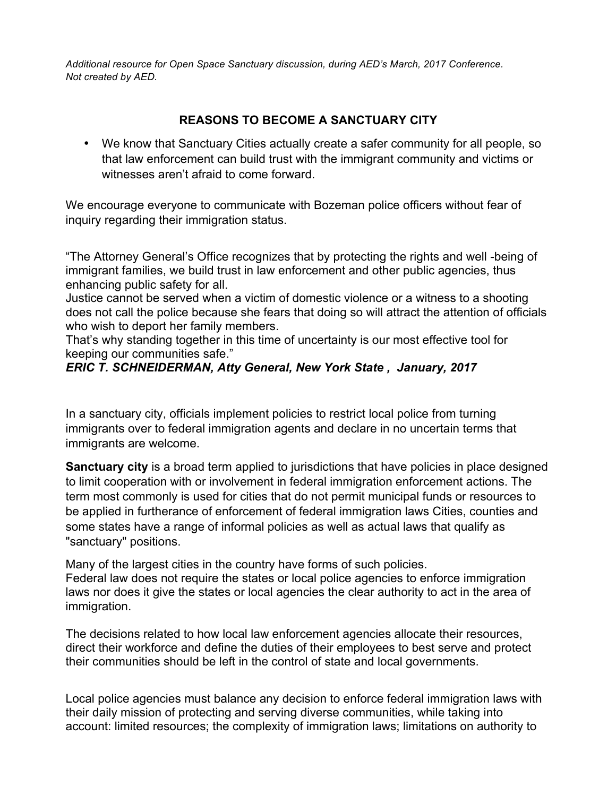*Additional resource for Open Space Sanctuary discussion, during AED's March, 2017 Conference. Not created by AED.*

## **REASONS TO BECOME A SANCTUARY CITY**

• We know that Sanctuary Cities actually create a safer community for all people, so that law enforcement can build trust with the immigrant community and victims or witnesses aren't afraid to come forward.

We encourage everyone to communicate with Bozeman police officers without fear of inquiry regarding their immigration status.

"The Attorney General's Office recognizes that by protecting the rights and well -being of immigrant families, we build trust in law enforcement and other public agencies, thus enhancing public safety for all.

Justice cannot be served when a victim of domestic violence or a witness to a shooting does not call the police because she fears that doing so will attract the attention of officials who wish to deport her family members.

That's why standing together in this time of uncertainty is our most effective tool for keeping our communities safe."

## *ERIC T. SCHNEIDERMAN, Atty General, New York State , January, 2017*

In a sanctuary city, officials implement policies to restrict local police from turning immigrants over to federal immigration agents and declare in no uncertain terms that immigrants are welcome.

**Sanctuary city** is a broad term applied to jurisdictions that have policies in place designed to limit cooperation with or involvement in federal immigration enforcement actions. The term most commonly is used for cities that do not permit municipal funds or resources to be applied in furtherance of enforcement of federal immigration laws Cities, counties and some states have a range of informal policies as well as actual laws that qualify as "sanctuary" positions.

Many of the largest cities in the country have forms of such policies. Federal law does not require the states or local police agencies to enforce immigration laws nor does it give the states or local agencies the clear authority to act in the area of immigration.

The decisions related to how local law enforcement agencies allocate their resources, direct their workforce and define the duties of their employees to best serve and protect their communities should be left in the control of state and local governments.

Local police agencies must balance any decision to enforce federal immigration laws with their daily mission of protecting and serving diverse communities, while taking into account: limited resources; the complexity of immigration laws; limitations on authority to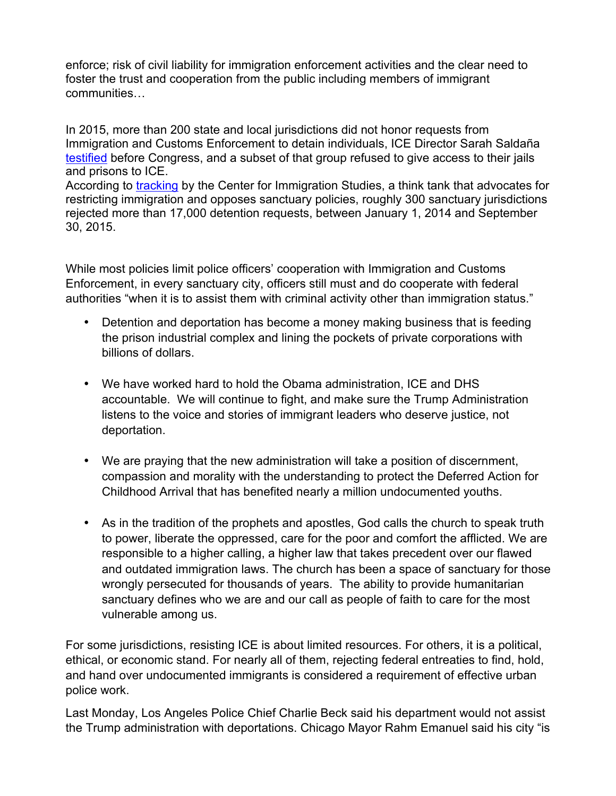enforce; risk of civil liability for immigration enforcement activities and the clear need to foster the trust and cooperation from the public including members of immigrant communities…

In 2015, more than 200 state and local jurisdictions did not honor requests from Immigration and Customs Enforcement to detain individuals, ICE Director Sarah Saldaña testified before Congress, and a subset of that group refused to give access to their jails and prisons to ICE. According to tracking by the Center for Immigration Studies, a think tank that advocates for

restricting immigration and opposes sanctuary policies, roughly 300 sanctuary jurisdictions rejected more than 17,000 detention requests, between January 1, 2014 and September 30, 2015.

While most policies limit police officers' cooperation with Immigration and Customs Enforcement, in every sanctuary city, officers still must and do cooperate with federal authorities "when it is to assist them with criminal activity other than immigration status."

- Detention and deportation has become a money making business that is feeding the prison industrial complex and lining the pockets of private corporations with billions of dollars.
- We have worked hard to hold the Obama administration, ICE and DHS accountable. We will continue to fight, and make sure the Trump Administration listens to the voice and stories of immigrant leaders who deserve justice, not deportation.
- We are praying that the new administration will take a position of discernment, compassion and morality with the understanding to protect the Deferred Action for Childhood Arrival that has benefited nearly a million undocumented youths.
- As in the tradition of the prophets and apostles, God calls the church to speak truth to power, liberate the oppressed, care for the poor and comfort the afflicted. We are responsible to a higher calling, a higher law that takes precedent over our flawed and outdated immigration laws. The church has been a space of sanctuary for those wrongly persecuted for thousands of years. The ability to provide humanitarian sanctuary defines who we are and our call as people of faith to care for the most vulnerable among us.

For some jurisdictions, resisting ICE is about limited resources. For others, it is a political, ethical, or economic stand. For nearly all of them, rejecting federal entreaties to find, hold, and hand over undocumented immigrants is considered a requirement of effective urban police work.

Last Monday, Los Angeles Police Chief Charlie Beck said his department would not assist the Trump administration with deportations. Chicago Mayor Rahm Emanuel said his city "is